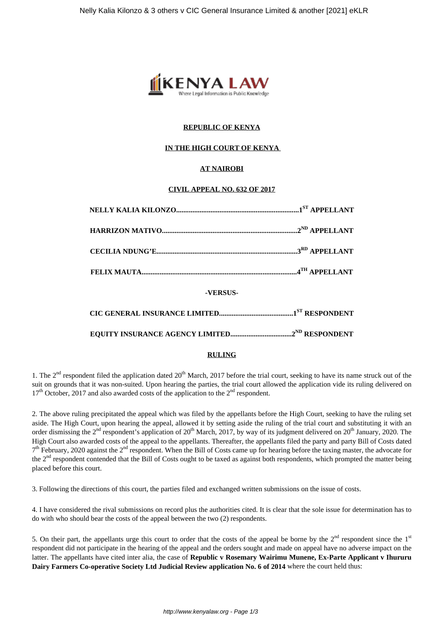

# **REPUBLIC OF KENYA**

## **IN THE HIGH COURT OF KENYA**

# **AT NAIROBI**

## **CIVIL APPEAL NO. 632 OF 2017**

| -VERSUS- |  |  |
|----------|--|--|

#### **RULING**

1. The  $2<sup>nd</sup>$  respondent filed the application dated  $20<sup>th</sup>$  March, 2017 before the trial court, seeking to have its name struck out of the suit on grounds that it was non-suited. Upon hearing the parties, the trial court allowed the application vide its ruling delivered on  $17<sup>th</sup>$  October, 2017 and also awarded costs of the application to the  $2<sup>nd</sup>$  respondent.

2. The above ruling precipitated the appeal which was filed by the appellants before the High Court, seeking to have the ruling set aside. The High Court, upon hearing the appeal, allowed it by setting aside the ruling of the trial court and substituting it with an order dismissing the  $2<sup>nd</sup>$  respondent's application of  $20<sup>th</sup>$  March, 2017, by way of its judgment delivered on  $20<sup>th</sup>$  January, 2020. The High Court also awarded costs of the appeal to the appellants. Thereafter, the appellants filed the party and party Bill of Costs dated  $7<sup>th</sup>$  February, 2020 against the  $2<sup>nd</sup>$  respondent. When the Bill of Costs came up for hearing before the taxing master, the advocate for the 2<sup>nd</sup> respondent contended that the Bill of Costs ought to be taxed as against both respondents, which prompted the matter being placed before this court.

3. Following the directions of this court, the parties filed and exchanged written submissions on the issue of costs.

4. I have considered the rival submissions on record plus the authorities cited. It is clear that the sole issue for determination has to do with who should bear the costs of the appeal between the two (2) respondents.

5. On their part, the appellants urge this court to order that the costs of the appeal be borne by the  $2<sup>nd</sup>$  respondent since the  $1<sup>st</sup>$ respondent did not participate in the hearing of the appeal and the orders sought and made on appeal have no adverse impact on the latter. The appellants have cited inter alia, the case of **Republic v Rosemary Wairimu Munene, Ex-Parte Applicant v Ihururu Dairy Farmers Co-operative Society Ltd Judicial Review application No. 6 of 2014** where the court held thus: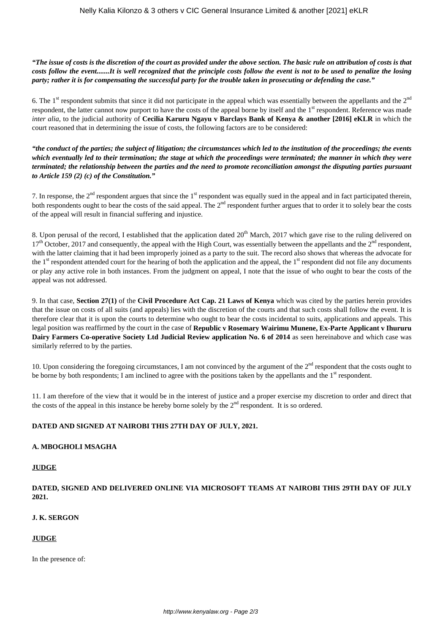*"The issue of costs is the discretion of the court as provided under the above section. The basic rule on attribution of costs is that costs follow the event.......It is well recognized that the principle costs follow the event is not to be used to penalize the losing party; rather it is for compensating the successful party for the trouble taken in prosecuting or defending the case."*

6. The  $1<sup>st</sup>$  respondent submits that since it did not participate in the appeal which was essentially between the appellants and the  $2<sup>nd</sup>$ respondent, the latter cannot now purport to have the costs of the appeal borne by itself and the 1<sup>st</sup> respondent. Reference was made *inter alia*, to the judicial authority of **Cecilia Karuru Ngayu v Barclays Bank of Kenya & another [2016] eKLR** in which the court reasoned that in determining the issue of costs, the following factors are to be considered:

*"the conduct of the parties; the subject of litigation; the circumstances which led to the institution of the proceedings; the events which eventually led to their termination; the stage at which the proceedings were terminated; the manner in which they were terminated; the relationship between the parties and the need to promote reconciliation amongst the disputing parties pursuant to Article 159 (2) (c) of the Constitution."*

7. In response, the  $2<sup>nd</sup>$  respondent argues that since the  $1<sup>st</sup>$  respondent was equally sued in the appeal and in fact participated therein, both respondents ought to bear the costs of the said appeal. The  $2<sup>nd</sup>$  respondent further argues that to order it to solely bear the costs of the appeal will result in financial suffering and injustice.

8. Upon perusal of the record, I established that the application dated 20<sup>th</sup> March, 2017 which gave rise to the ruling delivered on  $17<sup>th</sup>$  October, 2017 and consequently, the appeal with the High Court, was essentially between the appellants and the  $2<sup>nd</sup>$  respondent, with the latter claiming that it had been improperly joined as a party to the suit. The record also shows that whereas the advocate for the  $1<sup>st</sup>$  respondent attended court for the hearing of both the application and the appeal, the  $1<sup>st</sup>$  respondent did not file any documents or play any active role in both instances. From the judgment on appeal, I note that the issue of who ought to bear the costs of the appeal was not addressed.

9. In that case, **Section 27(1)** of the **Civil Procedure Act Cap. 21 Laws of Kenya** which was cited by the parties herein provides that the issue on costs of all suits (and appeals) lies with the discretion of the courts and that such costs shall follow the event. It is therefore clear that it is upon the courts to determine who ought to bear the costs incidental to suits, applications and appeals. This legal position was reaffirmed by the court in the case of **Republic v Rosemary Wairimu Munene, Ex-Parte Applicant v Ihururu Dairy Farmers Co-operative Society Ltd Judicial Review application No. 6 of 2014** as seen hereinabove and which case was similarly referred to by the parties.

10. Upon considering the foregoing circumstances, I am not convinced by the argument of the  $2<sup>nd</sup>$  respondent that the costs ought to be borne by both respondents; I am inclined to agree with the positions taken by the appellants and the  $1<sup>st</sup>$  respondent.

11. I am therefore of the view that it would be in the interest of justice and a proper exercise my discretion to order and direct that the costs of the appeal in this instance be hereby borne solely by the  $2<sup>nd</sup>$  respondent. It is so ordered.

## **DATED AND SIGNED AT NAIROBI THIS 27TH DAY OF JULY, 2021.**

## **A. MBOGHOLI MSAGHA**

## **JUDGE**

**DATED, SIGNED AND DELIVERED ONLINE VIA MICROSOFT TEAMS AT NAIROBI THIS 29TH DAY OF JULY 2021.**

## **J. K. SERGON**

## **JUDGE**

In the presence of: